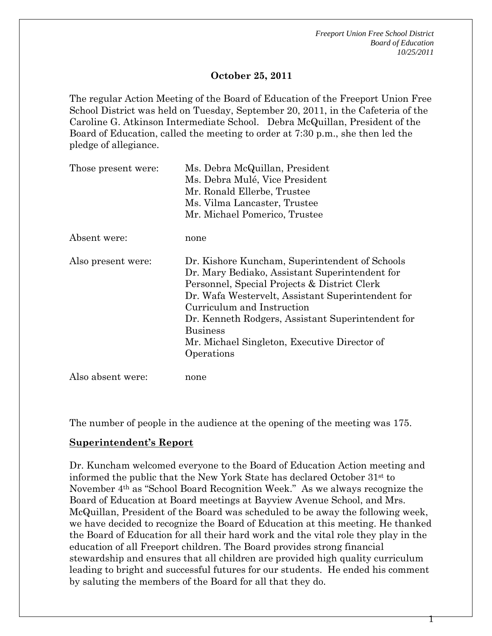1

### **October 25, 2011**

The regular Action Meeting of the Board of Education of the Freeport Union Free School District was held on Tuesday, September 20, 2011, in the Cafeteria of the Caroline G. Atkinson Intermediate School. Debra McQuillan, President of the Board of Education, called the meeting to order at 7:30 p.m., she then led the pledge of allegiance.

| Those present were: | Ms. Debra McQuillan, President<br>Ms. Debra Mulé, Vice President<br>Mr. Ronald Ellerbe, Trustee<br>Ms. Vilma Lancaster, Trustee |  |  |
|---------------------|---------------------------------------------------------------------------------------------------------------------------------|--|--|
|                     |                                                                                                                                 |  |  |
|                     |                                                                                                                                 |  |  |
|                     |                                                                                                                                 |  |  |
|                     | Mr. Michael Pomerico, Trustee                                                                                                   |  |  |
| Absent were:        | none                                                                                                                            |  |  |
| Also present were:  | Dr. Kishore Kuncham, Superintendent of Schools                                                                                  |  |  |
|                     | Dr. Mary Bediako, Assistant Superintendent for                                                                                  |  |  |
|                     | Personnel, Special Projects & District Clerk                                                                                    |  |  |
|                     | Dr. Wafa Westervelt, Assistant Superintendent for                                                                               |  |  |
|                     | Curriculum and Instruction                                                                                                      |  |  |
|                     | Dr. Kenneth Rodgers, Assistant Superintendent for                                                                               |  |  |
|                     | <b>Business</b>                                                                                                                 |  |  |
|                     | Mr. Michael Singleton, Executive Director of                                                                                    |  |  |
|                     | Operations                                                                                                                      |  |  |
| Also absent were:   | none                                                                                                                            |  |  |

The number of people in the audience at the opening of the meeting was 175.

#### **Superintendent's Report**

Dr. Kuncham welcomed everyone to the Board of Education Action meeting and informed the public that the New York State has declared October 31st to November 4th as "School Board Recognition Week." As we always recognize the Board of Education at Board meetings at Bayview Avenue School, and Mrs. McQuillan, President of the Board was scheduled to be away the following week, we have decided to recognize the Board of Education at this meeting. He thanked the Board of Education for all their hard work and the vital role they play in the education of all Freeport children. The Board provides strong financial stewardship and ensures that all children are provided high quality curriculum leading to bright and successful futures for our students. He ended his comment by saluting the members of the Board for all that they do.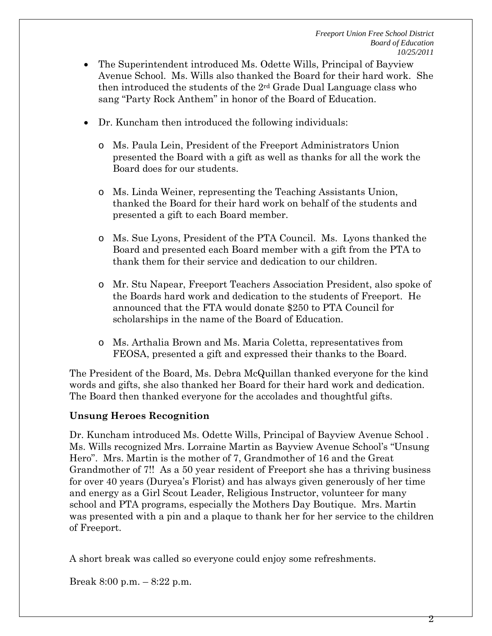- The Superintendent introduced Ms. Odette Wills, Principal of Bayview Avenue School. Ms. Wills also thanked the Board for their hard work. She then introduced the students of the  $2<sup>rd</sup>$  Grade Dual Language class who sang "Party Rock Anthem" in honor of the Board of Education.
- Dr. Kuncham then introduced the following individuals:
	- o Ms. Paula Lein, President of the Freeport Administrators Union presented the Board with a gift as well as thanks for all the work the Board does for our students.
	- o Ms. Linda Weiner, representing the Teaching Assistants Union, thanked the Board for their hard work on behalf of the students and presented a gift to each Board member.
	- o Ms. Sue Lyons, President of the PTA Council. Ms. Lyons thanked the Board and presented each Board member with a gift from the PTA to thank them for their service and dedication to our children.
	- o Mr. Stu Napear, Freeport Teachers Association President, also spoke of the Boards hard work and dedication to the students of Freeport. He announced that the FTA would donate \$250 to PTA Council for scholarships in the name of the Board of Education.
	- o Ms. Arthalia Brown and Ms. Maria Coletta, representatives from FEOSA, presented a gift and expressed their thanks to the Board.

The President of the Board, Ms. Debra McQuillan thanked everyone for the kind words and gifts, she also thanked her Board for their hard work and dedication. The Board then thanked everyone for the accolades and thoughtful gifts.

## **Unsung Heroes Recognition**

Dr. Kuncham introduced Ms. Odette Wills, Principal of Bayview Avenue School . Ms. Wills recognized Mrs. Lorraine Martin as Bayview Avenue School's "Unsung Hero". Mrs. Martin is the mother of 7, Grandmother of 16 and the Great Grandmother of 7!! As a 50 year resident of Freeport she has a thriving business for over 40 years (Duryea's Florist) and has always given generously of her time and energy as a Girl Scout Leader, Religious Instructor, volunteer for many school and PTA programs, especially the Mothers Day Boutique. Mrs. Martin was presented with a pin and a plaque to thank her for her service to the children of Freeport.

A short break was called so everyone could enjoy some refreshments.

Break 8:00 p.m. – 8:22 p.m.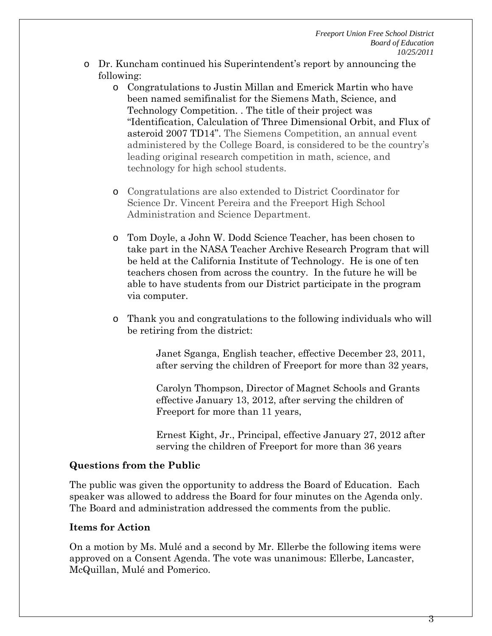- o Dr. Kuncham continued his Superintendent's report by announcing the following:
	- o Congratulations to Justin Millan and Emerick Martin who have been named semifinalist for the Siemens Math, Science, and Technology Competition. . The title of their project was "Identification, Calculation of Three Dimensional Orbit, and Flux of asteroid 2007 TD14". The Siemens Competition, an annual event administered by the College Board, is considered to be the country's leading original research competition in math, science, and technology for high school students.
	- o Congratulations are also extended to District Coordinator for Science Dr. Vincent Pereira and the Freeport High School Administration and Science Department.
	- o Tom Doyle, a John W. Dodd Science Teacher, has been chosen to take part in the NASA Teacher Archive Research Program that will be held at the California Institute of Technology. He is one of ten teachers chosen from across the country. In the future he will be able to have students from our District participate in the program via computer.
	- o Thank you and congratulations to the following individuals who will be retiring from the district:

Janet Sganga, English teacher, effective December 23, 2011, after serving the children of Freeport for more than 32 years,

Carolyn Thompson, Director of Magnet Schools and Grants effective January 13, 2012, after serving the children of Freeport for more than 11 years,

Ernest Kight, Jr., Principal, effective January 27, 2012 after serving the children of Freeport for more than 36 years

#### **Questions from the Public**

The public was given the opportunity to address the Board of Education. Each speaker was allowed to address the Board for four minutes on the Agenda only. The Board and administration addressed the comments from the public.

## **Items for Action**

On a motion by Ms. Mulé and a second by Mr. Ellerbe the following items were approved on a Consent Agenda. The vote was unanimous: Ellerbe, Lancaster, McQuillan, Mulé and Pomerico.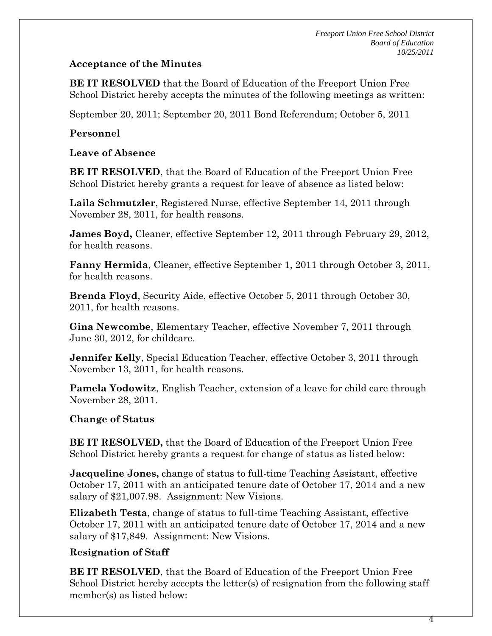## **Acceptance of the Minutes**

**BE IT RESOLVED** that the Board of Education of the Freeport Union Free School District hereby accepts the minutes of the following meetings as written:

September 20, 2011; September 20, 2011 Bond Referendum; October 5, 2011

# **Personnel**

## **Leave of Absence**

**BE IT RESOLVED**, that the Board of Education of the Freeport Union Free School District hereby grants a request for leave of absence as listed below:

**Laila Schmutzler**, Registered Nurse, effective September 14, 2011 through November 28, 2011, for health reasons.

**James Boyd,** Cleaner, effective September 12, 2011 through February 29, 2012, for health reasons.

**Fanny Hermida**, Cleaner, effective September 1, 2011 through October 3, 2011, for health reasons.

**Brenda Floyd**, Security Aide, effective October 5, 2011 through October 30, 2011, for health reasons.

**Gina Newcombe**, Elementary Teacher, effective November 7, 2011 through June 30, 2012, for childcare.

**Jennifer Kelly**, Special Education Teacher, effective October 3, 2011 through November 13, 2011, for health reasons.

**Pamela Yodowitz**, English Teacher, extension of a leave for child care through November 28, 2011.

# **Change of Status**

**BE IT RESOLVED,** that the Board of Education of the Freeport Union Free School District hereby grants a request for change of status as listed below:

**Jacqueline Jones,** change of status to full-time Teaching Assistant, effective October 17, 2011 with an anticipated tenure date of October 17, 2014 and a new salary of \$21,007.98. Assignment: New Visions.

**Elizabeth Testa**, change of status to full-time Teaching Assistant, effective October 17, 2011 with an anticipated tenure date of October 17, 2014 and a new salary of \$17,849. Assignment: New Visions.

# **Resignation of Staff**

**BE IT RESOLVED**, that the Board of Education of the Freeport Union Free School District hereby accepts the letter(s) of resignation from the following staff member(s) as listed below: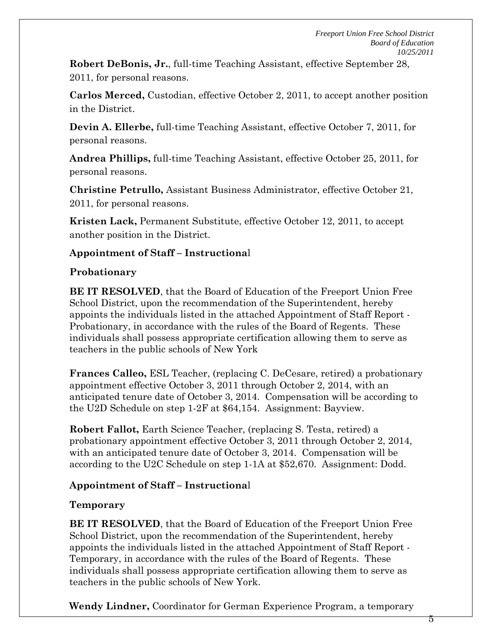**Robert DeBonis, Jr.**, full-time Teaching Assistant, effective September 28, 2011, for personal reasons.

**Carlos Merced,** Custodian, effective October 2, 2011, to accept another position in the District.

**Devin A. Ellerbe,** full-time Teaching Assistant, effective October 7, 2011, for personal reasons.

**Andrea Phillips,** full-time Teaching Assistant, effective October 25, 2011, for personal reasons.

**Christine Petrullo,** Assistant Business Administrator, effective October 21, 2011, for personal reasons.

**Kristen Lack,** Permanent Substitute, effective October 12, 2011, to accept another position in the District.

## **Appointment of Staff – Instructiona**l

## **Probationary**

**BE IT RESOLVED**, that the Board of Education of the Freeport Union Free School District, upon the recommendation of the Superintendent, hereby appoints the individuals listed in the attached Appointment of Staff Report - Probationary, in accordance with the rules of the Board of Regents. These individuals shall possess appropriate certification allowing them to serve as teachers in the public schools of New York

**Frances Calleo,** ESL Teacher, (replacing C. DeCesare, retired) a probationary appointment effective October 3, 2011 through October 2, 2014, with an anticipated tenure date of October 3, 2014. Compensation will be according to the U2D Schedule on step 1-2F at \$64,154. Assignment: Bayview.

**Robert Fallot,** Earth Science Teacher, (replacing S. Testa, retired) a probationary appointment effective October 3, 2011 through October 2, 2014, with an anticipated tenure date of October 3, 2014. Compensation will be according to the U2C Schedule on step 1-1A at \$52,670. Assignment: Dodd.

# **Appointment of Staff – Instructiona**l

# **Temporary**

**BE IT RESOLVED**, that the Board of Education of the Freeport Union Free School District, upon the recommendation of the Superintendent, hereby appoints the individuals listed in the attached Appointment of Staff Report - Temporary, in accordance with the rules of the Board of Regents. These individuals shall possess appropriate certification allowing them to serve as teachers in the public schools of New York.

**Wendy Lindner,** Coordinator for German Experience Program, a temporary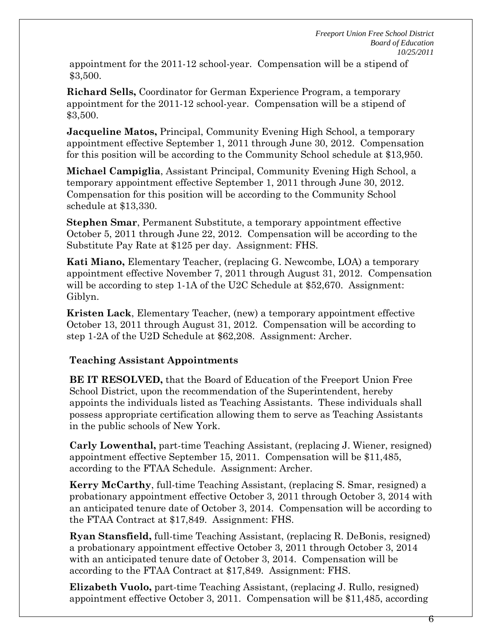appointment for the 2011-12 school-year. Compensation will be a stipend of \$3,500.

**Richard Sells,** Coordinator for German Experience Program, a temporary appointment for the 2011-12 school-year. Compensation will be a stipend of \$3,500.

**Jacqueline Matos,** Principal, Community Evening High School, a temporary appointment effective September 1, 2011 through June 30, 2012. Compensation for this position will be according to the Community School schedule at \$13,950.

**Michael Campiglia**, Assistant Principal, Community Evening High School, a temporary appointment effective September 1, 2011 through June 30, 2012. Compensation for this position will be according to the Community School schedule at \$13,330.

**Stephen Smar**, Permanent Substitute, a temporary appointment effective October 5, 2011 through June 22, 2012. Compensation will be according to the Substitute Pay Rate at \$125 per day. Assignment: FHS.

**Kati Miano,** Elementary Teacher, (replacing G. Newcombe, LOA) a temporary appointment effective November 7, 2011 through August 31, 2012. Compensation will be according to step 1-1A of the U2C Schedule at \$52,670. Assignment: Giblyn.

**Kristen Lack**, Elementary Teacher, (new) a temporary appointment effective October 13, 2011 through August 31, 2012. Compensation will be according to step 1-2A of the U2D Schedule at \$62,208. Assignment: Archer.

# **Teaching Assistant Appointments**

**BE IT RESOLVED,** that the Board of Education of the Freeport Union Free School District, upon the recommendation of the Superintendent, hereby appoints the individuals listed as Teaching Assistants. These individuals shall possess appropriate certification allowing them to serve as Teaching Assistants in the public schools of New York.

**Carly Lowenthal,** part-time Teaching Assistant, (replacing J. Wiener, resigned) appointment effective September 15, 2011. Compensation will be \$11,485, according to the FTAA Schedule. Assignment: Archer.

**Kerry McCarthy**, full-time Teaching Assistant, (replacing S. Smar, resigned) a probationary appointment effective October 3, 2011 through October 3, 2014 with an anticipated tenure date of October 3, 2014. Compensation will be according to the FTAA Contract at \$17,849. Assignment: FHS.

**Ryan Stansfield,** full-time Teaching Assistant, (replacing R. DeBonis, resigned) a probationary appointment effective October 3, 2011 through October 3, 2014 with an anticipated tenure date of October 3, 2014. Compensation will be according to the FTAA Contract at \$17,849. Assignment: FHS.

**Elizabeth Vuolo,** part-time Teaching Assistant, (replacing J. Rullo, resigned) appointment effective October 3, 2011. Compensation will be \$11,485, according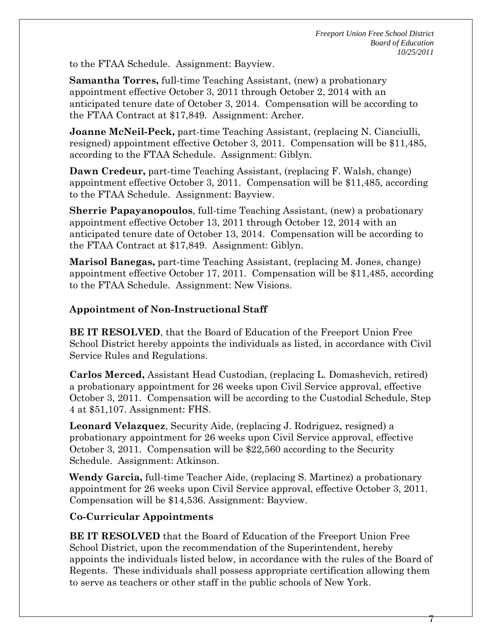to the FTAA Schedule. Assignment: Bayview.

**Samantha Torres,** full-time Teaching Assistant, (new) a probationary appointment effective October 3, 2011 through October 2, 2014 with an anticipated tenure date of October 3, 2014. Compensation will be according to the FTAA Contract at \$17,849. Assignment: Archer.

**Joanne McNeil-Peck,** part-time Teaching Assistant, (replacing N. Cianciulli, resigned) appointment effective October 3, 2011. Compensation will be \$11,485, according to the FTAA Schedule. Assignment: Giblyn.

**Dawn Credeur,** part-time Teaching Assistant, (replacing F. Walsh, change) appointment effective October 3, 2011. Compensation will be \$11,485, according to the FTAA Schedule. Assignment: Bayview.

**Sherrie Papayanopoulos**, full-time Teaching Assistant, (new) a probationary appointment effective October 13, 2011 through October 12, 2014 with an anticipated tenure date of October 13, 2014. Compensation will be according to the FTAA Contract at \$17,849. Assignment: Giblyn.

**Marisol Banegas,** part-time Teaching Assistant, (replacing M. Jones, change) appointment effective October 17, 2011. Compensation will be \$11,485, according to the FTAA Schedule. Assignment: New Visions.

## **Appointment of Non-Instructional Staff**

**BE IT RESOLVED**, that the Board of Education of the Freeport Union Free School District hereby appoints the individuals as listed, in accordance with Civil Service Rules and Regulations.

**Carlos Merced,** Assistant Head Custodian, (replacing L. Domashevich, retired) a probationary appointment for 26 weeks upon Civil Service approval, effective October 3, 2011. Compensation will be according to the Custodial Schedule, Step 4 at \$51,107. Assignment: FHS.

**Leonard Velazquez**, Security Aide, (replacing J. Rodriguez, resigned) a probationary appointment for 26 weeks upon Civil Service approval, effective October 3, 2011. Compensation will be \$22,560 according to the Security Schedule. Assignment: Atkinson.

**Wendy Garcia,** full-time Teacher Aide, (replacing S. Martinez) a probationary appointment for 26 weeks upon Civil Service approval, effective October 3, 2011. Compensation will be \$14,536. Assignment: Bayview.

## **Co-Curricular Appointments**

**BE IT RESOLVED** that the Board of Education of the Freeport Union Free School District, upon the recommendation of the Superintendent, hereby appoints the individuals listed below, in accordance with the rules of the Board of Regents. These individuals shall possess appropriate certification allowing them to serve as teachers or other staff in the public schools of New York.

 $\mathcal{L}$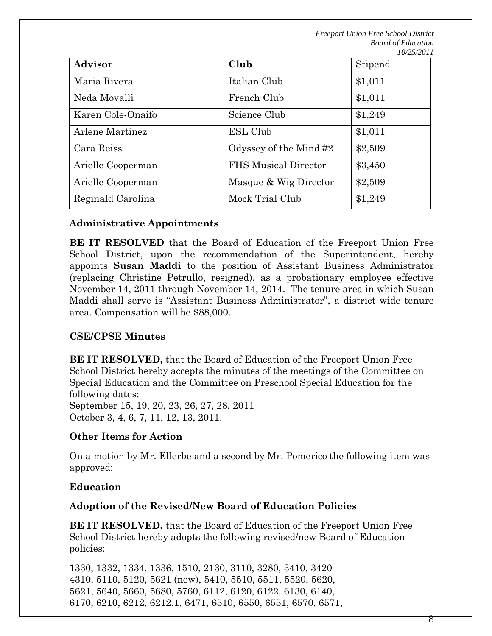| <b>Advisor</b>    | Club                        | Stipend |
|-------------------|-----------------------------|---------|
| Maria Rivera      | Italian Club                | \$1,011 |
| Neda Movalli      | French Club                 | \$1,011 |
| Karen Cole-Onaifo | Science Club                | \$1,249 |
| Arlene Martinez   | ESL Club                    | \$1,011 |
| Cara Reiss        | Odyssey of the Mind #2      | \$2,509 |
| Arielle Cooperman | <b>FHS Musical Director</b> | \$3,450 |
| Arielle Cooperman | Masque & Wig Director       | \$2,509 |
| Reginald Carolina | Mock Trial Club             | \$1,249 |

## **Administrative Appointments**

**BE IT RESOLVED** that the Board of Education of the Freeport Union Free School District, upon the recommendation of the Superintendent, hereby appoints **Susan Maddi** to the position of Assistant Business Administrator (replacing Christine Petrullo, resigned), as a probationary employee effective November 14, 2011 through November 14, 2014. The tenure area in which Susan Maddi shall serve is "Assistant Business Administrator", a district wide tenure area. Compensation will be \$88,000.

## **CSE/CPSE Minutes**

**BE IT RESOLVED,** that the Board of Education of the Freeport Union Free School District hereby accepts the minutes of the meetings of the Committee on Special Education and the Committee on Preschool Special Education for the following dates: September 15, 19, 20, 23, 26, 27, 28, 2011

October 3, 4, 6, 7, 11, 12, 13, 2011.

## **Other Items for Action**

On a motion by Mr. Ellerbe and a second by Mr. Pomerico the following item was approved:

#### **Education**

#### **Adoption of the Revised/New Board of Education Policies**

**BE IT RESOLVED,** that the Board of Education of the Freeport Union Free School District hereby adopts the following revised/new Board of Education policies:

1330, 1332, 1334, 1336, 1510, 2130, 3110, 3280, 3410, 3420 4310, 5110, 5120, 5621 (new), 5410, 5510, 5511, 5520, 5620, 5621, 5640, 5660, 5680, 5760, 6112, 6120, 6122, 6130, 6140, 6170, 6210, 6212, 6212.1, 6471, 6510, 6550, 6551, 6570, 6571,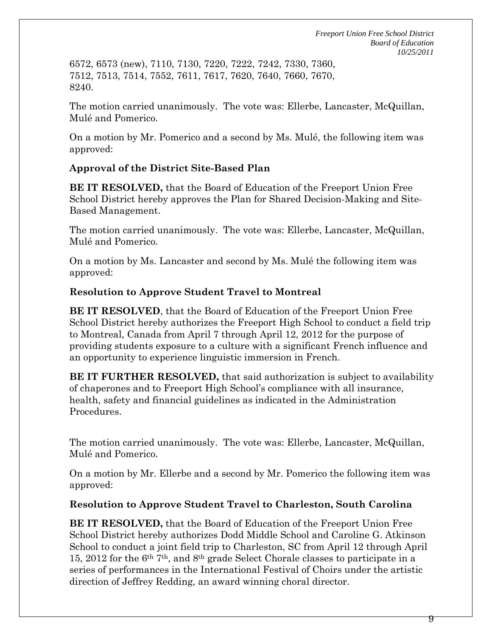6572, 6573 (new), 7110, 7130, 7220, 7222, 7242, 7330, 7360, 7512, 7513, 7514, 7552, 7611, 7617, 7620, 7640, 7660, 7670, 8240.

The motion carried unanimously. The vote was: Ellerbe, Lancaster, McQuillan, Mulé and Pomerico.

On a motion by Mr. Pomerico and a second by Ms. Mulé, the following item was approved:

## **Approval of the District Site-Based Plan**

**BE IT RESOLVED,** that the Board of Education of the Freeport Union Free School District hereby approves the Plan for Shared Decision-Making and Site-Based Management.

The motion carried unanimously. The vote was: Ellerbe, Lancaster, McQuillan, Mulé and Pomerico.

On a motion by Ms. Lancaster and second by Ms. Mulé the following item was approved:

## **Resolution to Approve Student Travel to Montreal**

**BE IT RESOLVED**, that the Board of Education of the Freeport Union Free School District hereby authorizes the Freeport High School to conduct a field trip to Montreal, Canada from April 7 through April 12, 2012 for the purpose of providing students exposure to a culture with a significant French influence and an opportunity to experience linguistic immersion in French.

**BE IT FURTHER RESOLVED,** that said authorization is subject to availability of chaperones and to Freeport High School's compliance with all insurance, health, safety and financial guidelines as indicated in the Administration Procedures.

The motion carried unanimously. The vote was: Ellerbe, Lancaster, McQuillan, Mulé and Pomerico.

On a motion by Mr. Ellerbe and a second by Mr. Pomerico the following item was approved:

## **Resolution to Approve Student Travel to Charleston, South Carolina**

**BE IT RESOLVED,** that the Board of Education of the Freeport Union Free School District hereby authorizes Dodd Middle School and Caroline G. Atkinson School to conduct a joint field trip to Charleston, SC from April 12 through April 15, 2012 for the 6th 7th, and 8th grade Select Chorale classes to participate in a series of performances in the International Festival of Choirs under the artistic direction of Jeffrey Redding, an award winning choral director.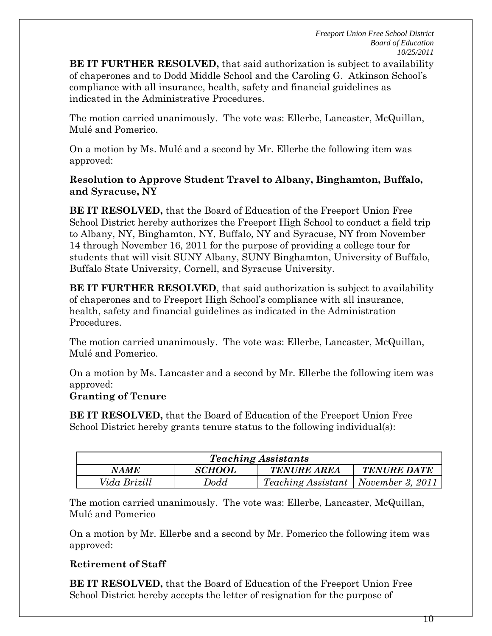**BE IT FURTHER RESOLVED,** that said authorization is subject to availability of chaperones and to Dodd Middle School and the Caroling G. Atkinson School's compliance with all insurance, health, safety and financial guidelines as indicated in the Administrative Procedures.

The motion carried unanimously. The vote was: Ellerbe, Lancaster, McQuillan, Mulé and Pomerico.

On a motion by Ms. Mulé and a second by Mr. Ellerbe the following item was approved:

## **Resolution to Approve Student Travel to Albany, Binghamton, Buffalo, and Syracuse, NY**

**BE IT RESOLVED,** that the Board of Education of the Freeport Union Free School District hereby authorizes the Freeport High School to conduct a field trip to Albany, NY, Binghamton, NY, Buffalo, NY and Syracuse, NY from November 14 through November 16, 2011 for the purpose of providing a college tour for students that will visit SUNY Albany, SUNY Binghamton, University of Buffalo, Buffalo State University, Cornell, and Syracuse University.

**BE IT FURTHER RESOLVED**, that said authorization is subject to availability of chaperones and to Freeport High School's compliance with all insurance, health, safety and financial guidelines as indicated in the Administration Procedures.

The motion carried unanimously. The vote was: Ellerbe, Lancaster, McQuillan, Mulé and Pomerico.

On a motion by Ms. Lancaster and a second by Mr. Ellerbe the following item was approved:

## **Granting of Tenure**

**BE IT RESOLVED,** that the Board of Education of the Freeport Union Free School District hereby grants tenure status to the following individual(s):

| <b>Teaching Assistants</b> |                      |                                              |                    |  |  |
|----------------------------|----------------------|----------------------------------------------|--------------------|--|--|
| <b>NAME</b>                | <i><b>SCHOOL</b></i> | <b>TENURE AREA</b>                           | <b>TENURE DATE</b> |  |  |
| Vida Brizill               | Dodd                 | <i>Teaching Assistant</i>   November 3, 2011 |                    |  |  |

The motion carried unanimously. The vote was: Ellerbe, Lancaster, McQuillan, Mulé and Pomerico

On a motion by Mr. Ellerbe and a second by Mr. Pomerico the following item was approved:

# **Retirement of Staff**

**BE IT RESOLVED,** that the Board of Education of the Freeport Union Free School District hereby accepts the letter of resignation for the purpose of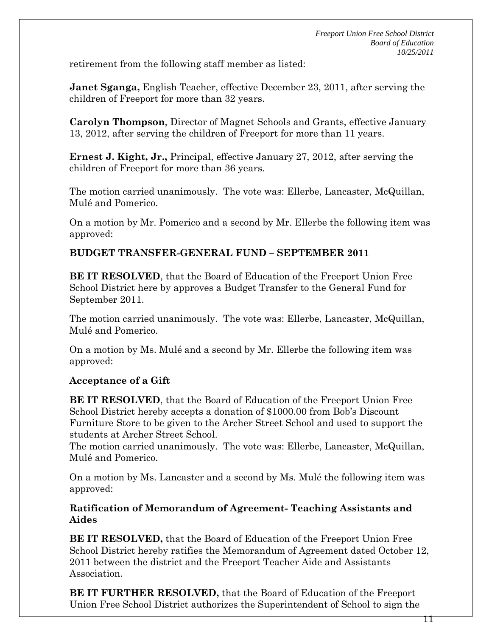retirement from the following staff member as listed:

**Janet Sganga,** English Teacher, effective December 23, 2011, after serving the children of Freeport for more than 32 years.

**Carolyn Thompson**, Director of Magnet Schools and Grants, effective January 13, 2012, after serving the children of Freeport for more than 11 years.

**Ernest J. Kight, Jr.,** Principal, effective January 27, 2012, after serving the children of Freeport for more than 36 years.

The motion carried unanimously. The vote was: Ellerbe, Lancaster, McQuillan, Mulé and Pomerico.

On a motion by Mr. Pomerico and a second by Mr. Ellerbe the following item was approved:

## **BUDGET TRANSFER-GENERAL FUND – SEPTEMBER 2011**

**BE IT RESOLVED**, that the Board of Education of the Freeport Union Free School District here by approves a Budget Transfer to the General Fund for September 2011.

The motion carried unanimously. The vote was: Ellerbe, Lancaster, McQuillan, Mulé and Pomerico.

On a motion by Ms. Mulé and a second by Mr. Ellerbe the following item was approved:

## **Acceptance of a Gift**

**BE IT RESOLVED**, that the Board of Education of the Freeport Union Free School District hereby accepts a donation of \$1000.00 from Bob's Discount Furniture Store to be given to the Archer Street School and used to support the students at Archer Street School.

The motion carried unanimously. The vote was: Ellerbe, Lancaster, McQuillan, Mulé and Pomerico.

On a motion by Ms. Lancaster and a second by Ms. Mulé the following item was approved:

### **Ratification of Memorandum of Agreement- Teaching Assistants and Aides**

**BE IT RESOLVED,** that the Board of Education of the Freeport Union Free School District hereby ratifies the Memorandum of Agreement dated October 12, 2011 between the district and the Freeport Teacher Aide and Assistants Association.

**BE IT FURTHER RESOLVED,** that the Board of Education of the Freeport Union Free School District authorizes the Superintendent of School to sign the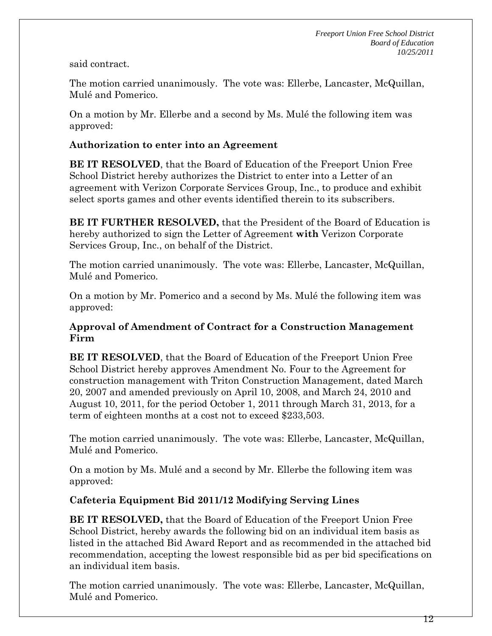said contract.

The motion carried unanimously. The vote was: Ellerbe, Lancaster, McQuillan, Mulé and Pomerico.

On a motion by Mr. Ellerbe and a second by Ms. Mulé the following item was approved:

# **Authorization to enter into an Agreement**

**BE IT RESOLVED**, that the Board of Education of the Freeport Union Free School District hereby authorizes the District to enter into a Letter of an agreement with Verizon Corporate Services Group, Inc., to produce and exhibit select sports games and other events identified therein to its subscribers.

**BE IT FURTHER RESOLVED,** that the President of the Board of Education is hereby authorized to sign the Letter of Agreement **with** Verizon Corporate Services Group, Inc., on behalf of the District.

The motion carried unanimously. The vote was: Ellerbe, Lancaster, McQuillan, Mulé and Pomerico.

On a motion by Mr. Pomerico and a second by Ms. Mulé the following item was approved:

## **Approval of Amendment of Contract for a Construction Management Firm**

**BE IT RESOLVED**, that the Board of Education of the Freeport Union Free School District hereby approves Amendment No. Four to the Agreement for construction management with Triton Construction Management, dated March 20, 2007 and amended previously on April 10, 2008, and March 24, 2010 and August 10, 2011, for the period October 1, 2011 through March 31, 2013, for a term of eighteen months at a cost not to exceed \$233,503.

The motion carried unanimously. The vote was: Ellerbe, Lancaster, McQuillan, Mulé and Pomerico.

On a motion by Ms. Mulé and a second by Mr. Ellerbe the following item was approved:

# **Cafeteria Equipment Bid 2011/12 Modifying Serving Lines**

**BE IT RESOLVED,** that the Board of Education of the Freeport Union Free School District, hereby awards the following bid on an individual item basis as listed in the attached Bid Award Report and as recommended in the attached bid recommendation, accepting the lowest responsible bid as per bid specifications on an individual item basis.

The motion carried unanimously. The vote was: Ellerbe, Lancaster, McQuillan, Mulé and Pomerico.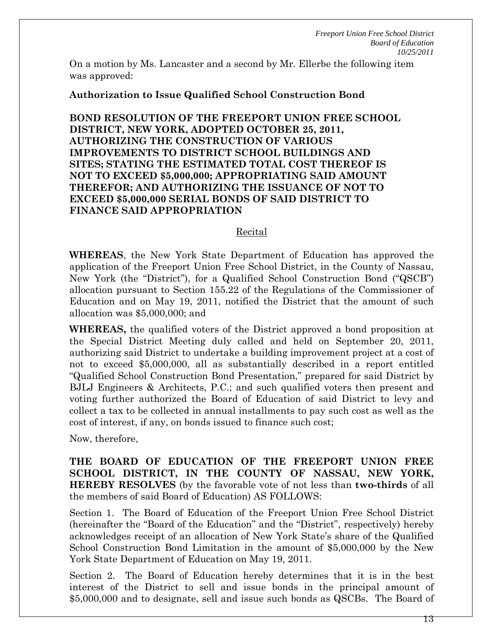On a motion by Ms. Lancaster and a second by Mr. Ellerbe the following item was approved:

### **Authorization to Issue Qualified School Construction Bond**

**BOND RESOLUTION OF THE FREEPORT UNION FREE SCHOOL DISTRICT, NEW YORK, ADOPTED OCTOBER 25, 2011, AUTHORIZING THE CONSTRUCTION OF VARIOUS IMPROVEMENTS TO DISTRICT SCHOOL BUILDINGS AND SITES; STATING THE ESTIMATED TOTAL COST THEREOF IS NOT TO EXCEED \$5,000,000; APPROPRIATING SAID AMOUNT THEREFOR; AND AUTHORIZING THE ISSUANCE OF NOT TO EXCEED \$5,000,000 SERIAL BONDS OF SAID DISTRICT TO FINANCE SAID APPROPRIATION** 

#### Recital

**WHEREAS**, the New York State Department of Education has approved the application of the Freeport Union Free School District, in the County of Nassau, New York (the "District"), for a Qualified School Construction Bond ("QSCB") allocation pursuant to Section 155.22 of the Regulations of the Commissioner of Education and on May 19, 2011, notified the District that the amount of such allocation was \$5,000,000; and

**WHEREAS,** the qualified voters of the District approved a bond proposition at the Special District Meeting duly called and held on September 20, 2011, authorizing said District to undertake a building improvement project at a cost of not to exceed \$5,000,000, all as substantially described in a report entitled "Qualified School Construction Bond Presentation," prepared for said District by BJLJ Engineers & Architects, P.C.; and such qualified voters then present and voting further authorized the Board of Education of said District to levy and collect a tax to be collected in annual installments to pay such cost as well as the cost of interest, if any, on bonds issued to finance such cost;

Now, therefore,

**THE BOARD OF EDUCATION OF THE FREEPORT UNION FREE SCHOOL DISTRICT, IN THE COUNTY OF NASSAU, NEW YORK, HEREBY RESOLVES** (by the favorable vote of not less than **two-thirds** of all the members of said Board of Education) AS FOLLOWS:

Section 1. The Board of Education of the Freeport Union Free School District (hereinafter the "Board of the Education" and the "District", respectively) hereby acknowledges receipt of an allocation of New York State's share of the Qualified School Construction Bond Limitation in the amount of \$5,000,000 by the New York State Department of Education on May 19, 2011.

Section 2. The Board of Education hereby determines that it is in the best interest of the District to sell and issue bonds in the principal amount of \$5,000,000 and to designate, sell and issue such bonds as QSCBs. The Board of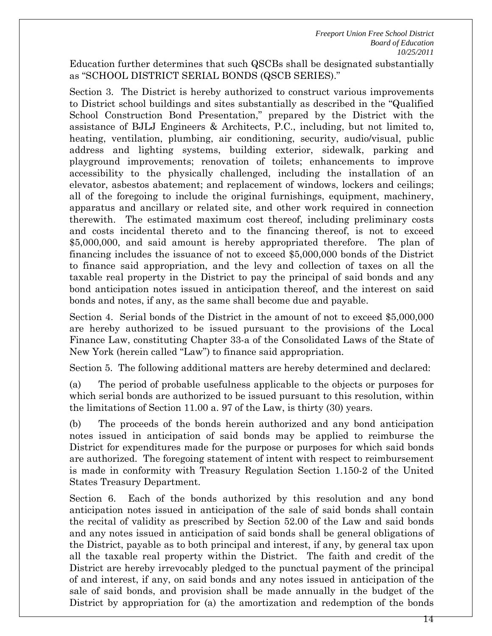Education further determines that such QSCBs shall be designated substantially as "SCHOOL DISTRICT SERIAL BONDS (QSCB SERIES)."

Section 3. The District is hereby authorized to construct various improvements to District school buildings and sites substantially as described in the "Qualified School Construction Bond Presentation," prepared by the District with the assistance of BJLJ Engineers & Architects, P.C., including, but not limited to, heating, ventilation, plumbing, air conditioning, security, audio/visual, public address and lighting systems, building exterior, sidewalk, parking and playground improvements; renovation of toilets; enhancements to improve accessibility to the physically challenged, including the installation of an elevator, asbestos abatement; and replacement of windows, lockers and ceilings; all of the foregoing to include the original furnishings, equipment, machinery, apparatus and ancillary or related site, and other work required in connection therewith. The estimated maximum cost thereof, including preliminary costs and costs incidental thereto and to the financing thereof, is not to exceed \$5,000,000, and said amount is hereby appropriated therefore. The plan of financing includes the issuance of not to exceed \$5,000,000 bonds of the District to finance said appropriation, and the levy and collection of taxes on all the taxable real property in the District to pay the principal of said bonds and any bond anticipation notes issued in anticipation thereof, and the interest on said bonds and notes, if any, as the same shall become due and payable.

Section 4. Serial bonds of the District in the amount of not to exceed \$5,000,000 are hereby authorized to be issued pursuant to the provisions of the Local Finance Law, constituting Chapter 33-a of the Consolidated Laws of the State of New York (herein called "Law") to finance said appropriation.

Section 5. The following additional matters are hereby determined and declared:

(a) The period of probable usefulness applicable to the objects or purposes for which serial bonds are authorized to be issued pursuant to this resolution, within the limitations of Section 11.00 a. 97 of the Law, is thirty (30) years.

(b) The proceeds of the bonds herein authorized and any bond anticipation notes issued in anticipation of said bonds may be applied to reimburse the District for expenditures made for the purpose or purposes for which said bonds are authorized. The foregoing statement of intent with respect to reimbursement is made in conformity with Treasury Regulation Section 1.150-2 of the United States Treasury Department.

Section 6. Each of the bonds authorized by this resolution and any bond anticipation notes issued in anticipation of the sale of said bonds shall contain the recital of validity as prescribed by Section 52.00 of the Law and said bonds and any notes issued in anticipation of said bonds shall be general obligations of the District, payable as to both principal and interest, if any, by general tax upon all the taxable real property within the District. The faith and credit of the District are hereby irrevocably pledged to the punctual payment of the principal of and interest, if any, on said bonds and any notes issued in anticipation of the sale of said bonds, and provision shall be made annually in the budget of the District by appropriation for (a) the amortization and redemption of the bonds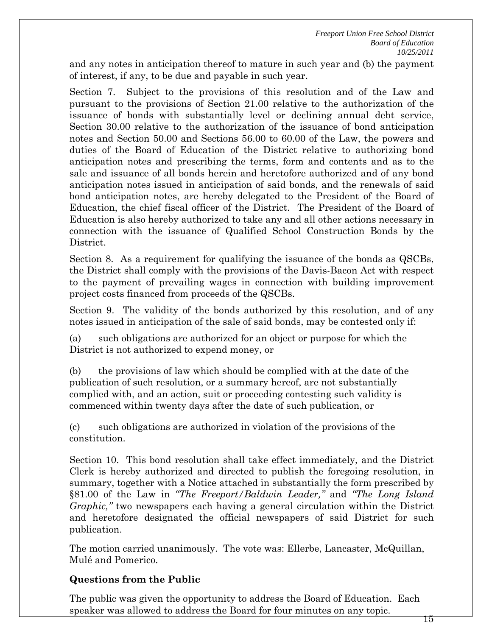and any notes in anticipation thereof to mature in such year and (b) the payment of interest, if any, to be due and payable in such year.

Section 7. Subject to the provisions of this resolution and of the Law and pursuant to the provisions of Section 21.00 relative to the authorization of the issuance of bonds with substantially level or declining annual debt service, Section 30.00 relative to the authorization of the issuance of bond anticipation notes and Section 50.00 and Sections 56.00 to 60.00 of the Law, the powers and duties of the Board of Education of the District relative to authorizing bond anticipation notes and prescribing the terms, form and contents and as to the sale and issuance of all bonds herein and heretofore authorized and of any bond anticipation notes issued in anticipation of said bonds, and the renewals of said bond anticipation notes, are hereby delegated to the President of the Board of Education, the chief fiscal officer of the District. The President of the Board of Education is also hereby authorized to take any and all other actions necessary in connection with the issuance of Qualified School Construction Bonds by the District.

Section 8. As a requirement for qualifying the issuance of the bonds as QSCBs, the District shall comply with the provisions of the Davis-Bacon Act with respect to the payment of prevailing wages in connection with building improvement project costs financed from proceeds of the QSCBs.

Section 9. The validity of the bonds authorized by this resolution, and of any notes issued in anticipation of the sale of said bonds, may be contested only if:

(a) such obligations are authorized for an object or purpose for which the District is not authorized to expend money, or

(b) the provisions of law which should be complied with at the date of the publication of such resolution, or a summary hereof, are not substantially complied with, and an action, suit or proceeding contesting such validity is commenced within twenty days after the date of such publication, or

(c) such obligations are authorized in violation of the provisions of the constitution.

Section 10. This bond resolution shall take effect immediately, and the District Clerk is hereby authorized and directed to publish the foregoing resolution, in summary, together with a Notice attached in substantially the form prescribed by §81.00 of the Law in *"The Freeport/Baldwin Leader,"* and *"The Long Island Graphic,"* two newspapers each having a general circulation within the District and heretofore designated the official newspapers of said District for such publication.

The motion carried unanimously. The vote was: Ellerbe, Lancaster, McQuillan, Mulé and Pomerico.

# **Questions from the Public**

The public was given the opportunity to address the Board of Education. Each speaker was allowed to address the Board for four minutes on any topic.